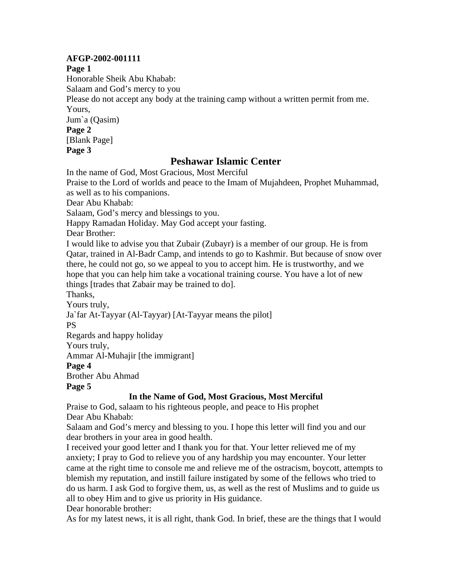### **AFGP-2002-001111**

**Page 1** 

Honorable Sheik Abu Khabab: Salaam and God's mercy to you Please do not accept any body at the training camp without a written permit from me. Yours, Jum`a (Qasim) **Page 2**  [Blank Page] **Page 3** 

# **Peshawar Islamic Center**

In the name of God, Most Gracious, Most Merciful

Praise to the Lord of worlds and peace to the Imam of Mujahdeen, Prophet Muhammad, as well as to his companions.

Dear Abu Khabab:

Salaam, God's mercy and blessings to you.

Happy Ramadan Holiday. May God accept your fasting.

Dear Brother:

I would like to advise you that Zubair (Zubayr) is a member of our group. He is from Qatar, trained in Al-Badr Camp, and intends to go to Kashmir. But because of snow over there, he could not go, so we appeal to you to accept him. He is trustworthy, and we hope that you can help him take a vocational training course. You have a lot of new things [trades that Zabair may be trained to do].

Thanks,

Yours truly,

Ja`far At-Tayyar (Al-Tayyar) [At-Tayyar means the pilot]

PS

Regards and happy holiday

Yours truly,

Ammar Al-Muhajir [the immigrant]

**Page 4** 

Brother Abu Ahmad

## **Page 5**

# **In the Name of God, Most Gracious, Most Merciful**

Praise to God, salaam to his righteous people, and peace to His prophet Dear Abu Khabab:

Salaam and God's mercy and blessing to you. I hope this letter will find you and our dear brothers in your area in good health.

I received your good letter and I thank you for that. Your letter relieved me of my anxiety; I pray to God to relieve you of any hardship you may encounter. Your letter came at the right time to console me and relieve me of the ostracism, boycott, attempts to blemish my reputation, and instill failure instigated by some of the fellows who tried to do us harm. I ask God to forgive them, us, as well as the rest of Muslims and to guide us all to obey Him and to give us priority in His guidance.

Dear honorable brother:

As for my latest news, it is all right, thank God. In brief, these are the things that I would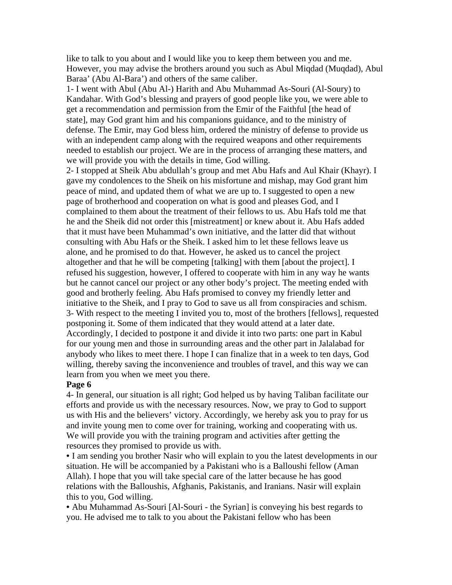like to talk to you about and I would like you to keep them between you and me. However, you may advise the brothers around you such as Abul Miqdad (Muqdad), Abul Baraa' (Abu Al-Bara') and others of the same caliber.

1- I went with Abul (Abu Al-) Harith and Abu Muhammad As-Souri (Al-Soury) to Kandahar. With God's blessing and prayers of good people like you, we were able to get a recommendation and permission from the Emir of the Faithful [the head of state], may God grant him and his companions guidance, and to the ministry of defense. The Emir, may God bless him, ordered the ministry of defense to provide us with an independent camp along with the required weapons and other requirements needed to establish our project. We are in the process of arranging these matters, and we will provide you with the details in time, God willing.

2- I stopped at Sheik Abu abdullah's group and met Abu Hafs and Aul Khair (Khayr). I gave my condolences to the Sheik on his misfortune and mishap, may God grant him peace of mind, and updated them of what we are up to. I suggested to open a new page of brotherhood and cooperation on what is good and pleases God, and I complained to them about the treatment of their fellows to us. Abu Hafs told me that he and the Sheik did not order this [mistreatment] or knew about it. Abu Hafs added that it must have been Muhammad's own initiative, and the latter did that without consulting with Abu Hafs or the Sheik. I asked him to let these fellows leave us alone, and he promised to do that. However, he asked us to cancel the project altogether and that he will be competing [talking] with them [about the project]. I refused his suggestion, however, I offered to cooperate with him in any way he wants but he cannot cancel our project or any other body's project. The meeting ended with good and brotherly feeling. Abu Hafs promised to convey my friendly letter and initiative to the Sheik, and I pray to God to save us all from conspiracies and schism. 3- With respect to the meeting I invited you to, most of the brothers [fellows], requested postponing it. Some of them indicated that they would attend at a later date. Accordingly, I decided to postpone it and divide it into two parts: one part in Kabul for our young men and those in surrounding areas and the other part in Jalalabad for anybody who likes to meet there. I hope I can finalize that in a week to ten days, God willing, thereby saving the inconvenience and troubles of travel, and this way we can learn from you when we meet you there.

#### **Page 6**

4- In general, our situation is all right; God helped us by having Taliban facilitate our efforts and provide us with the necessary resources. Now, we pray to God to support us with His and the believers' victory. Accordingly, we hereby ask you to pray for us and invite young men to come over for training, working and cooperating with us. We will provide you with the training program and activities after getting the resources they promised to provide us with.

• I am sending you brother Nasir who will explain to you the latest developments in our situation. He will be accompanied by a Pakistani who is a Balloushi fellow (Aman Allah). I hope that you will take special care of the latter because he has good relations with the Balloushis, Afghanis, Pakistanis, and Iranians. Nasir will explain this to you, God willing.

• Abu Muhammad As-Souri [Al-Souri - the Syrian] is conveying his best regards to you. He advised me to talk to you about the Pakistani fellow who has been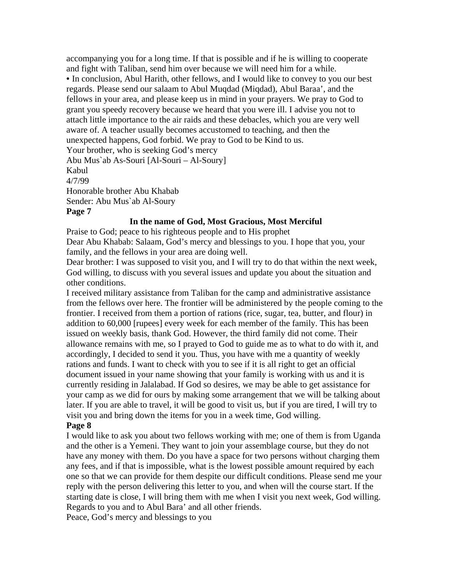accompanying you for a long time. If that is possible and if he is willing to cooperate and fight with Taliban, send him over because we will need him for a while. • In conclusion, Abul Harith, other fellows, and I would like to convey to you our best regards. Please send our salaam to Abul Muqdad (Miqdad), Abul Baraa', and the fellows in your area, and please keep us in mind in your prayers. We pray to God to grant you speedy recovery because we heard that you were ill. I advise you not to attach little importance to the air raids and these debacles, which you are very well aware of. A teacher usually becomes accustomed to teaching, and then the unexpected happens, God forbid. We pray to God to be Kind to us. Your brother, who is seeking God's mercy Abu Mus`ab As-Souri [Al-Souri – Al-Soury] Kabul 4/7/99 Honorable brother Abu Khabab Sender: Abu Mus`ab Al-Soury

#### **Page 7**

#### **In the name of God, Most Gracious, Most Merciful**

Praise to God; peace to his righteous people and to His prophet Dear Abu Khabab: Salaam, God's mercy and blessings to you. I hope that you, your family, and the fellows in your area are doing well.

Dear brother: I was supposed to visit you, and I will try to do that within the next week, God willing, to discuss with you several issues and update you about the situation and other conditions.

I received military assistance from Taliban for the camp and administrative assistance from the fellows over here. The frontier will be administered by the people coming to the frontier. I received from them a portion of rations (rice, sugar, tea, butter, and flour) in addition to 60,000 [rupees] every week for each member of the family. This has been issued on weekly basis, thank God. However, the third family did not come. Their allowance remains with me, so I prayed to God to guide me as to what to do with it, and accordingly, I decided to send it you. Thus, you have with me a quantity of weekly rations and funds. I want to check with you to see if it is all right to get an official document issued in your name showing that your family is working with us and it is currently residing in Jalalabad. If God so desires, we may be able to get assistance for your camp as we did for ours by making some arrangement that we will be talking about later. If you are able to travel, it will be good to visit us, but if you are tired, I will try to visit you and bring down the items for you in a week time, God willing.

### **Page 8**

I would like to ask you about two fellows working with me; one of them is from Uganda and the other is a Yemeni. They want to join your assemblage course, but they do not have any money with them. Do you have a space for two persons without charging them any fees, and if that is impossible, what is the lowest possible amount required by each one so that we can provide for them despite our difficult conditions. Please send me your reply with the person delivering this letter to you, and when will the course start. If the starting date is close, I will bring them with me when I visit you next week, God willing. Regards to you and to Abul Bara' and all other friends.

Peace, God's mercy and blessings to you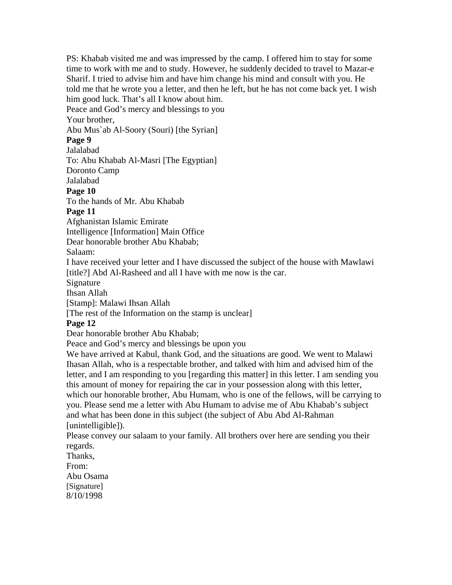PS: Khabab visited me and was impressed by the camp. I offered him to stay for some time to work with me and to study. However, he suddenly decided to travel to Mazar-e Sharif. I tried to advise him and have him change his mind and consult with you. He told me that he wrote you a letter, and then he left, but he has not come back yet. I wish him good luck. That's all I know about him.

Peace and God's mercy and blessings to you

Your brother,

Abu Mus`ab Al-Soory (Souri) [the Syrian]

## **Page 9**

Jalalabad

To: Abu Khabab Al-Masri [The Egyptian]

Doronto Camp

# Jalalabad

**Page 10** 

To the hands of Mr. Abu Khabab

# **Page 11**

Afghanistan Islamic Emirate

Intelligence [Information] Main Office

Dear honorable brother Abu Khabab;

Salaam:

I have received your letter and I have discussed the subject of the house with Mawlawi [title?] Abd Al-Rasheed and all I have with me now is the car.

Signature

Ihsan Allah

[Stamp]: Malawi Ihsan Allah

[The rest of the Information on the stamp is unclear]

# **Page 12**

Dear honorable brother Abu Khabab;

Peace and God's mercy and blessings be upon you

We have arrived at Kabul, thank God, and the situations are good. We went to Malawi Ihasan Allah, who is a respectable brother, and talked with him and advised him of the letter, and I am responding to you [regarding this matter] in this letter. I am sending you this amount of money for repairing the car in your possession along with this letter, which our honorable brother, Abu Humam, who is one of the fellows, will be carrying to you. Please send me a letter with Abu Humam to advise me of Abu Khabab's subject and what has been done in this subject (the subject of Abu Abd Al-Rahman [unintelligible]).

Please convey our salaam to your family. All brothers over here are sending you their regards.

Thanks,

From:

Abu Osama [Signature] 8/10/1998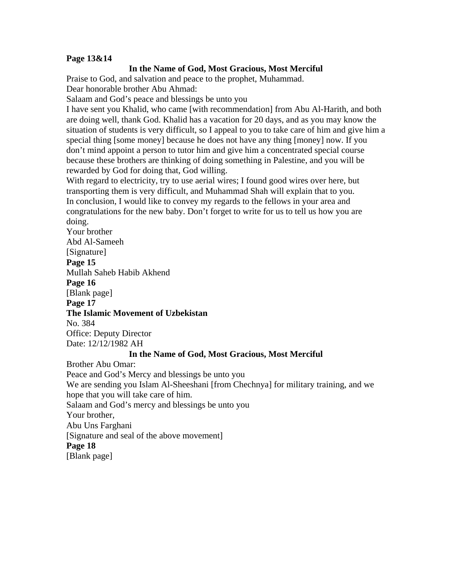### **Page 13&14**

#### **In the Name of God, Most Gracious, Most Merciful**

Praise to God, and salvation and peace to the prophet, Muhammad. Dear honorable brother Abu Ahmad:

Salaam and God's peace and blessings be unto you

I have sent you Khalid, who came [with recommendation] from Abu Al-Harith, and both are doing well, thank God. Khalid has a vacation for 20 days, and as you may know the situation of students is very difficult, so I appeal to you to take care of him and give him a special thing [some money] because he does not have any thing [money] now. If you don't mind appoint a person to tutor him and give him a concentrated special course because these brothers are thinking of doing something in Palestine, and you will be rewarded by God for doing that, God willing.

With regard to electricity, try to use aerial wires; I found good wires over here, but transporting them is very difficult, and Muhammad Shah will explain that to you. In conclusion, I would like to convey my regards to the fellows in your area and congratulations for the new baby. Don't forget to write for us to tell us how you are doing.

Your brother Abd Al-Sameeh [Signature] **Page 15**  Mullah Saheb Habib Akhend **Page 16**  [Blank page] **Page 17 The Islamic Movement of Uzbekistan**  No. 384 Office: Deputy Director Date: 12/12/1982 AH **In the Name of God, Most Gracious, Most Merciful**  Brother Abu Omar: Peace and God's Mercy and blessings be unto you We are sending you Islam Al-Sheeshani [from Chechnya] for military training, and we hope that you will take care of him. Salaam and God's mercy and blessings be unto you Your brother, Abu Uns Farghani [Signature and seal of the above movement] **Page 18**  [Blank page]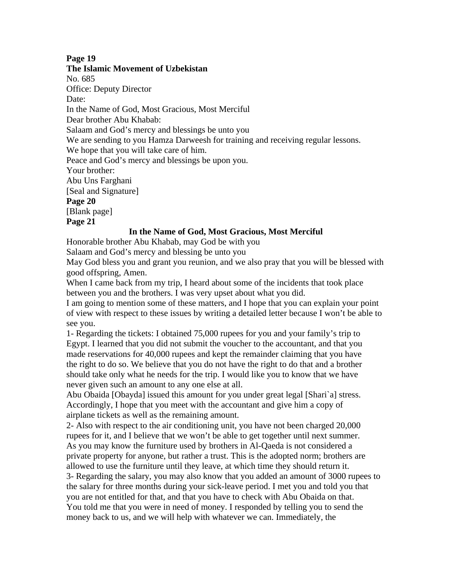#### **Page 19**

#### **The Islamic Movement of Uzbekistan**

No. 685

Office: Deputy Director

Date:

In the Name of God, Most Gracious, Most Merciful

Dear brother Abu Khabab:

Salaam and God's mercy and blessings be unto you

We are sending to you Hamza Darweesh for training and receiving regular lessons.

We hope that you will take care of him.

Peace and God's mercy and blessings be upon you.

Your brother:

Abu Uns Farghani

[Seal and Signature]

**Page 20** 

[Blank page]

**Page 21** 

### **In the Name of God, Most Gracious, Most Merciful**

Honorable brother Abu Khabab, may God be with you

Salaam and God's mercy and blessing be unto you

May God bless you and grant you reunion, and we also pray that you will be blessed with good offspring, Amen.

When I came back from my trip, I heard about some of the incidents that took place between you and the brothers. I was very upset about what you did.

I am going to mention some of these matters, and I hope that you can explain your point of view with respect to these issues by writing a detailed letter because I won't be able to see you.

1- Regarding the tickets: I obtained 75,000 rupees for you and your family's trip to Egypt. I learned that you did not submit the voucher to the accountant, and that you made reservations for 40,000 rupees and kept the remainder claiming that you have the right to do so. We believe that you do not have the right to do that and a brother should take only what he needs for the trip. I would like you to know that we have never given such an amount to any one else at all.

Abu Obaida [Obayda] issued this amount for you under great legal [Shari`a] stress. Accordingly, I hope that you meet with the accountant and give him a copy of airplane tickets as well as the remaining amount.

2- Also with respect to the air conditioning unit, you have not been charged 20,000 rupees for it, and I believe that we won't be able to get together until next summer. As you may know the furniture used by brothers in Al-Qaeda is not considered a private property for anyone, but rather a trust. This is the adopted norm; brothers are allowed to use the furniture until they leave, at which time they should return it. 3- Regarding the salary, you may also know that you added an amount of 3000 rupees to the salary for three months during your sick-leave period. I met you and told you that you are not entitled for that, and that you have to check with Abu Obaida on that. You told me that you were in need of money. I responded by telling you to send the money back to us, and we will help with whatever we can. Immediately, the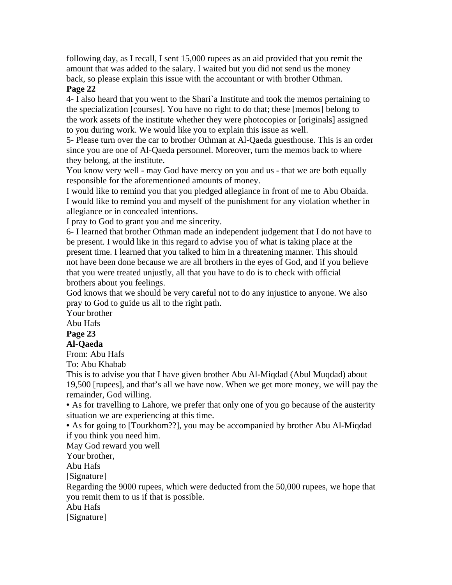following day, as I recall, I sent 15,000 rupees as an aid provided that you remit the amount that was added to the salary. I waited but you did not send us the money back, so please explain this issue with the accountant or with brother Othman. **Page 22** 

4- I also heard that you went to the Shari`a Institute and took the memos pertaining to the specialization [courses]. You have no right to do that; these [memos] belong to the work assets of the institute whether they were photocopies or [originals] assigned to you during work. We would like you to explain this issue as well.

5- Please turn over the car to brother Othman at Al-Qaeda guesthouse. This is an order since you are one of Al-Qaeda personnel. Moreover, turn the memos back to where they belong, at the institute.

You know very well - may God have mercy on you and us - that we are both equally responsible for the aforementioned amounts of money.

I would like to remind you that you pledged allegiance in front of me to Abu Obaida. I would like to remind you and myself of the punishment for any violation whether in allegiance or in concealed intentions.

I pray to God to grant you and me sincerity.

6- I learned that brother Othman made an independent judgement that I do not have to be present. I would like in this regard to advise you of what is taking place at the present time. I learned that you talked to him in a threatening manner. This should not have been done because we are all brothers in the eyes of God, and if you believe that you were treated unjustly, all that you have to do is to check with official brothers about you feelings.

God knows that we should be very careful not to do any injustice to anyone. We also pray to God to guide us all to the right path.

Your brother

Abu Hafs

### **Page 23**

### **Al-Qaeda**

From: Abu Hafs

To: Abu Khabab

This is to advise you that I have given brother Abu Al-Miqdad (Abul Muqdad) about 19,500 [rupees], and that's all we have now. When we get more money, we will pay the remainder, God willing.

• As for travelling to Lahore, we prefer that only one of you go because of the austerity situation we are experiencing at this time.

• As for going to [Tourkhom??], you may be accompanied by brother Abu Al-Miqdad if you think you need him.

May God reward you well

Your brother,

Abu Hafs

[Signature]

Regarding the 9000 rupees, which were deducted from the 50,000 rupees, we hope that you remit them to us if that is possible.

Abu Hafs

[Signature]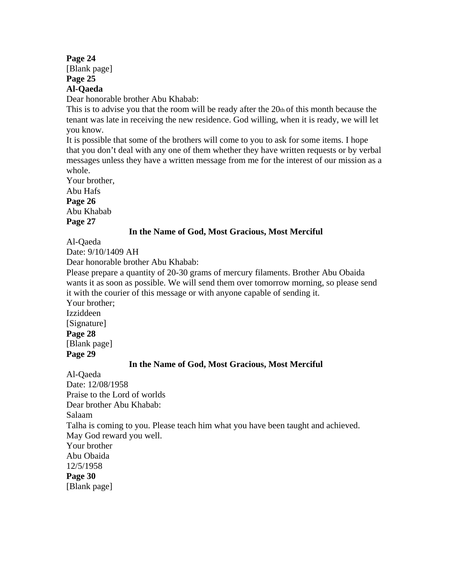## **Page 24**

[Blank page] **Page 25** 

## **Al-Qaeda**

Dear honorable brother Abu Khabab:

This is to advise you that the room will be ready after the 20th of this month because the tenant was late in receiving the new residence. God willing, when it is ready, we will let you know.

It is possible that some of the brothers will come to you to ask for some items. I hope that you don't deal with any one of them whether they have written requests or by verbal messages unless they have a written message from me for the interest of our mission as a whole.

Your brother, Abu Hafs **Page 26**  Abu Khabab **Page 27** 

### **In the Name of God, Most Gracious, Most Merciful**

Al-Qaeda

Date: 9/10/1409 AH

Dear honorable brother Abu Khabab:

Please prepare a quantity of 20-30 grams of mercury filaments. Brother Abu Obaida wants it as soon as possible. We will send them over tomorrow morning, so please send it with the courier of this message or with anyone capable of sending it.

Your brother; Izziddeen [Signature]

**Page 28**  [Blank page]

**Page 29** 

## **In the Name of God, Most Gracious, Most Merciful**

Al-Qaeda Date: 12/08/1958 Praise to the Lord of worlds Dear brother Abu Khabab: Salaam Talha is coming to you. Please teach him what you have been taught and achieved. May God reward you well. Your brother Abu Obaida 12/5/1958 **Page 30**  [Blank page]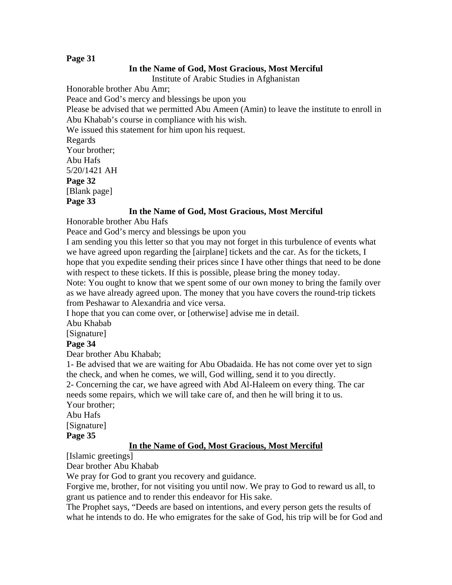### **Page 31**

#### **In the Name of God, Most Gracious, Most Merciful**

Institute of Arabic Studies in Afghanistan

Honorable brother Abu Amr;

Peace and God's mercy and blessings be upon you

Please be advised that we permitted Abu Ameen (Amin) to leave the institute to enroll in Abu Khabab's course in compliance with his wish.

We issued this statement for him upon his request.

Regards Your brother; Abu Hafs 5/20/1421 AH **Page 32**  [Blank page] **Page 33** 

#### **In the Name of God, Most Gracious, Most Merciful**

Honorable brother Abu Hafs

Peace and God's mercy and blessings be upon you

I am sending you this letter so that you may not forget in this turbulence of events what we have agreed upon regarding the [airplane] tickets and the car. As for the tickets, I hope that you expedite sending their prices since I have other things that need to be done with respect to these tickets. If this is possible, please bring the money today.

Note: You ought to know that we spent some of our own money to bring the family over as we have already agreed upon. The money that you have covers the round-trip tickets from Peshawar to Alexandria and vice versa.

I hope that you can come over, or [otherwise] advise me in detail.

Abu Khabab

[Signature]

#### **Page 34**

Dear brother Abu Khabab;

1- Be advised that we are waiting for Abu Obadaida. He has not come over yet to sign the check, and when he comes, we will, God willing, send it to you directly.

2- Concerning the car, we have agreed with Abd Al-Haleem on every thing. The car needs some repairs, which we will take care of, and then he will bring it to us. Your brother;

Abu Hafs

[Signature]

**Page 35** 

#### **In the Name of God, Most Gracious, Most Merciful**

[Islamic greetings]

Dear brother Abu Khabab

We pray for God to grant you recovery and guidance.

Forgive me, brother, for not visiting you until now. We pray to God to reward us all, to grant us patience and to render this endeavor for His sake.

The Prophet says, "Deeds are based on intentions, and every person gets the results of what he intends to do. He who emigrates for the sake of God, his trip will be for God and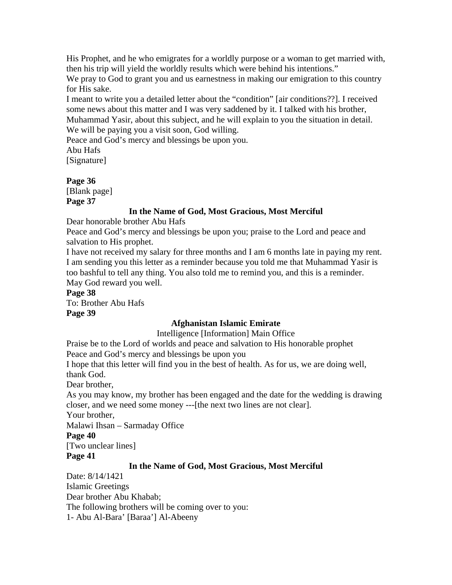His Prophet, and he who emigrates for a worldly purpose or a woman to get married with, then his trip will yield the worldly results which were behind his intentions."

We pray to God to grant you and us earnestness in making our emigration to this country for His sake.

I meant to write you a detailed letter about the "condition" [air conditions??]. I received some news about this matter and I was very saddened by it. I talked with his brother, Muhammad Yasir, about this subject, and he will explain to you the situation in detail. We will be paying you a visit soon, God willing.

Peace and God's mercy and blessings be upon you.

Abu Hafs

[Signature]

## **Page 36**

[Blank page] **Page 37** 

### **In the Name of God, Most Gracious, Most Merciful**

Dear honorable brother Abu Hafs

Peace and God's mercy and blessings be upon you; praise to the Lord and peace and salvation to His prophet.

I have not received my salary for three months and I am 6 months late in paying my rent. I am sending you this letter as a reminder because you told me that Muhammad Yasir is too bashful to tell any thing. You also told me to remind you, and this is a reminder. May God reward you well.

**Page 38** 

To: Brother Abu Hafs **Page 39**

## **Afghanistan Islamic Emirate**

Intelligence [Information] Main Office

Praise be to the Lord of worlds and peace and salvation to His honorable prophet Peace and God's mercy and blessings be upon you

I hope that this letter will find you in the best of health. As for us, we are doing well, thank God.

Dear brother,

As you may know, my brother has been engaged and the date for the wedding is drawing closer, and we need some money ---[the next two lines are not clear].

Your brother,

Malawi Ihsan – Sarmaday Office

## **Page 40**

[Two unclear lines]

### **Page 41**

## **In the Name of God, Most Gracious, Most Merciful**

Date: 8/14/1421 Islamic Greetings Dear brother Abu Khabab; The following brothers will be coming over to you: 1- Abu Al-Bara' [Baraa'] Al-Abeeny